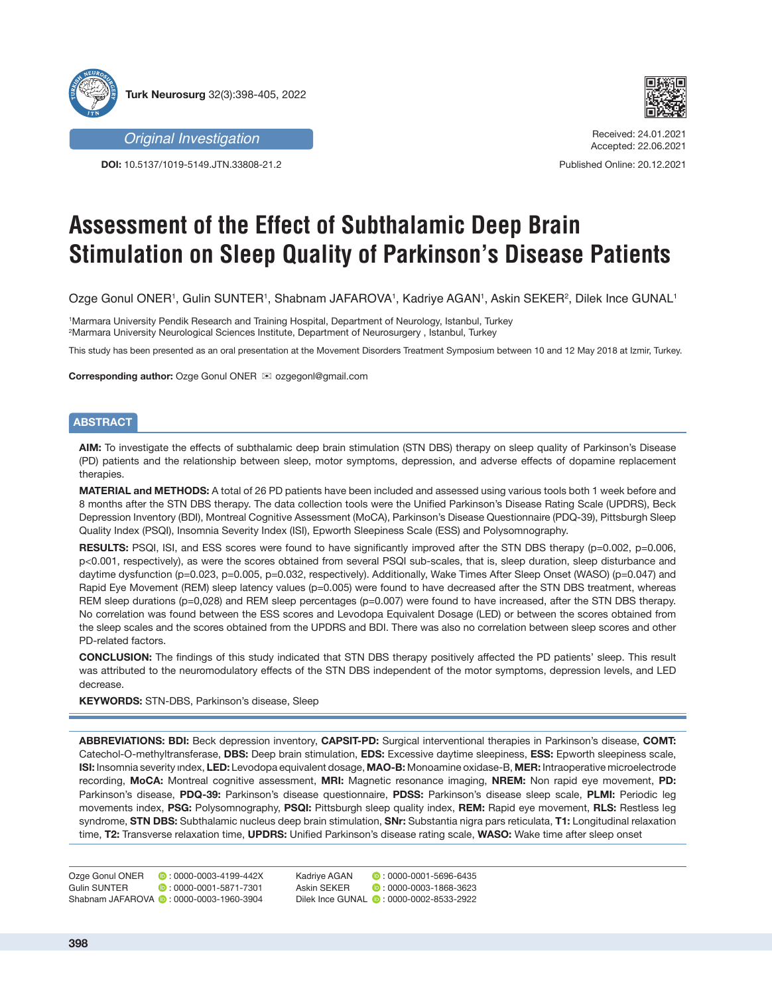



**DOI:** 10.5137/1019-5149.JTN.33808-21.2



Received: 24.01.2021 Accepted: 22.06.2021

Published Online: 20.12.2021

# **Assessment of the Effect of Subthalamic Deep Brain Stimulation on Sleep Quality of Parkinson's Disease Patients**

Ozge Gonul ONER', Gulin SUNTER', Shabnam JAFAROVA', Kadriye AGAN', Askin SEKER?, Dilek Ince GUNAL'

1 Marmara University Pendik Research and Training Hospital, Department of Neurology, Istanbul, Turkey 2 Marmara University Neurological Sciences Institute, Department of Neurosurgery , Istanbul, Turkey

This study has been presented as an oral presentation at the Movement Disorders Treatment Symposium between 10 and 12 May 2018 at Izmir, Turkey.

**Corresponding author:** Ozge Gonul ONER **<b>ix** ozgegonl@gmail.com

# **ABSTRACT**

**AIM:** To investigate the effects of subthalamic deep brain stimulation (STN DBS) therapy on sleep quality of Parkinson's Disease (PD) patients and the relationship between sleep, motor symptoms, depression, and adverse effects of dopamine replacement therapies.

**MATERIAL and METHODS:** A total of 26 PD patients have been included and assessed using various tools both 1 week before and 8 months after the STN DBS therapy. The data collection tools were the Unified Parkinson's Disease Rating Scale (UPDRS), Beck Depression Inventory (BDI), Montreal Cognitive Assessment (MoCA), Parkinson's Disease Questionnaire (PDQ-39), Pittsburgh Sleep Quality Index (PSQI), Insomnia Severity Index (ISI), Epworth Sleepiness Scale (ESS) and Polysomnography.

RESULTS: PSQI, ISI, and ESS scores were found to have significantly improved after the STN DBS therapy (p=0.002, p=0.006, p<0.001, respectively), as were the scores obtained from several PSQI sub-scales, that is, sleep duration, sleep disturbance and daytime dysfunction (p=0.023, p=0.005, p=0.032, respectively). Additionally, Wake Times After Sleep Onset (WASO) (p=0.047) and Rapid Eye Movement (REM) sleep latency values (p=0.005) were found to have decreased after the STN DBS treatment, whereas REM sleep durations (p=0,028) and REM sleep percentages (p=0.007) were found to have increased, after the STN DBS therapy. No correlation was found between the ESS scores and Levodopa Equivalent Dosage (LED) or between the scores obtained from the sleep scales and the scores obtained from the UPDRS and BDI. There was also no correlation between sleep scores and other PD-related factors.

**CONCLUSION:** The findings of this study indicated that STN DBS therapy positively affected the PD patients' sleep. This result was attributed to the neuromodulatory effects of the STN DBS independent of the motor symptoms, depression levels, and LED decrease.

**KEYWORDS:** STN-DBS, Parkinson's disease, Sleep

**ABBREVIATIONS: BDI:** Beck depression inventory, **CAPSIT-PD:** Surgical interventional therapies in Parkinson's disease, **COMT:** Catechol-O-methyltransferase, **DBS:** Deep brain stimulation, **EDS:** Excessive daytime sleepiness, **ESS:** Epworth sleepiness scale, **ISI:** Insomnia severity ındex, **LED:** Levodopa equivalent dosage, **MAO-B:** Monoamine oxidase-B, **MER:** Intraoperative microelectrode recording, **MoCA:** Montreal cognitive assessment, **MRI:** Magnetic resonance imaging, **NREM:** Non rapid eye movement, **PD:** Parkinson's disease, **PDQ-39:** Parkinson's disease questionnaire, **PDSS:** Parkinson's disease sleep scale, **PLMI:** Periodic leg movements index, **PSG:** Polysomnography, **PSQI:** Pittsburgh sleep quality index, **REM:** Rapid eye movement, **RLS:** Restless leg syndrome, **STN DBS:** Subthalamic nucleus deep brain stimulation, **SNr:** Substantia nigra pars reticulata, **T1:** Longitudinal relaxation time, **T2:** Transverse relaxation time, **UPDRS:** Unified Parkinson's disease rating scale, **WASO:** Wake time after sleep onset

Ozge Gonul ONER **:** 0000-0003-4199-442X Gulin SUNTER **0**:0000-0001-5871-7301 Shabnam JAFAROVA **:** 0000-0003-1960-3904

Kadriye AGAN **D**: 0000-0001-5696-6435 Askin SEKER **:** 0000-0003-1868-3623 Dilek Ince GUNAL ( : 0000-0002-8533-2922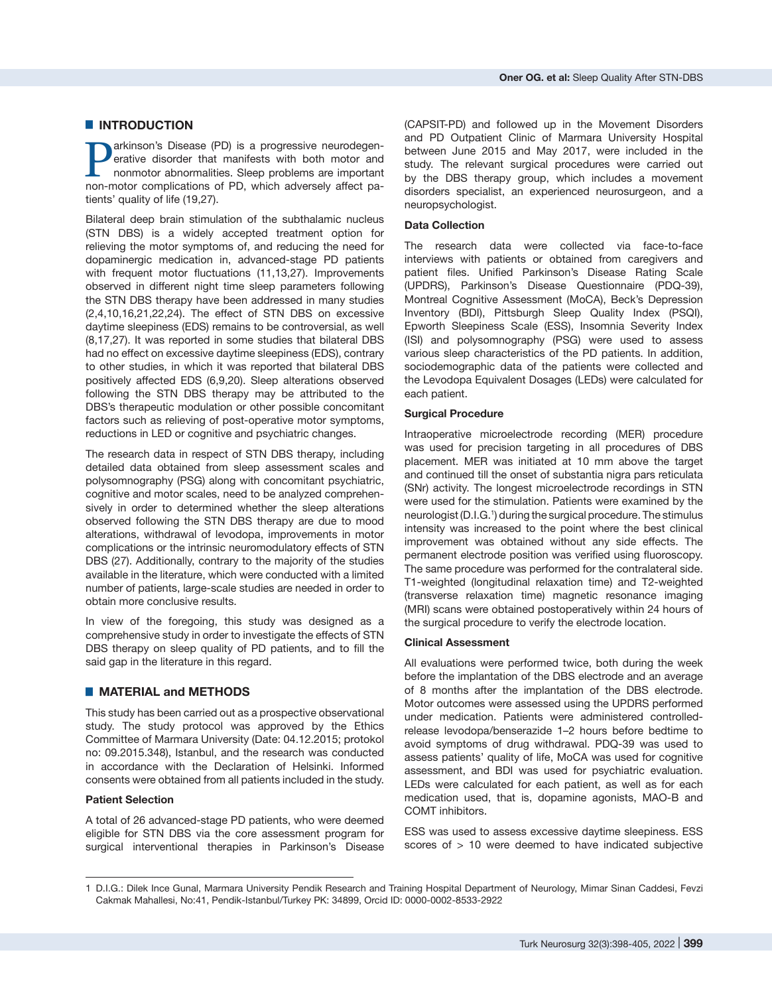# █ **INTRODUCTION**

**Parkinson's Disease (PD) is a progressive neurodegen-**<br>erative disorder that manifests with both motor and<br>nonmotor abnormalities. Sleep problems are important<br>non-motor complications of PD, which adversely affect paerative disorder that manifests with both motor and nonmotor abnormalities. Sleep problems are important non-motor complications of PD, which adversely affect patients' quality of life (19,27).

Bilateral deep brain stimulation of the subthalamic nucleus (STN DBS) is a widely accepted treatment option for relieving the motor symptoms of, and reducing the need for dopaminergic medication in, advanced-stage PD patients with frequent motor fluctuations (11,13,27). Improvements observed in different night time sleep parameters following the STN DBS therapy have been addressed in many studies (2,4,10,16,21,22,24). The effect of STN DBS on excessive daytime sleepiness (EDS) remains to be controversial, as well (8,17,27). It was reported in some studies that bilateral DBS had no effect on excessive daytime sleepiness (EDS), contrary to other studies, in which it was reported that bilateral DBS positively affected EDS (6,9,20). Sleep alterations observed following the STN DBS therapy may be attributed to the DBS's therapeutic modulation or other possible concomitant factors such as relieving of post-operative motor symptoms, reductions in LED or cognitive and psychiatric changes.

The research data in respect of STN DBS therapy, including detailed data obtained from sleep assessment scales and polysomnography (PSG) along with concomitant psychiatric, cognitive and motor scales, need to be analyzed comprehensively in order to determined whether the sleep alterations observed following the STN DBS therapy are due to mood alterations, withdrawal of levodopa, improvements in motor complications or the intrinsic neuromodulatory effects of STN DBS (27). Additionally, contrary to the majority of the studies available in the literature, which were conducted with a limited number of patients, large-scale studies are needed in order to obtain more conclusive results.

In view of the foregoing, this study was designed as a comprehensive study in order to investigate the effects of STN DBS therapy on sleep quality of PD patients, and to fill the said gap in the literature in this regard.

# █ **MATERIAL and METHODS**

This study has been carried out as a prospective observational study. The study protocol was approved by the Ethics Committee of Marmara University (Date: 04.12.2015; protokol no: 09.2015.348), Istanbul, and the research was conducted in accordance with the Declaration of Helsinki. Informed consents were obtained from all patients included in the study.

## **Patient Selection**

A total of 26 advanced-stage PD patients, who were deemed eligible for STN DBS via the core assessment program for surgical interventional therapies in Parkinson's Disease

(CAPSIT-PD) and followed up in the Movement Disorders and PD Outpatient Clinic of Marmara University Hospital between June 2015 and May 2017, were included in the study. The relevant surgical procedures were carried out by the DBS therapy group, which includes a movement disorders specialist, an experienced neurosurgeon, and a neuropsychologist.

#### **Data Collection**

The research data were collected via face-to-face interviews with patients or obtained from caregivers and patient files. Unified Parkinson's Disease Rating Scale (UPDRS), Parkinson's Disease Questionnaire (PDQ-39), Montreal Cognitive Assessment (MoCA), Beck's Depression Inventory (BDI), Pittsburgh Sleep Quality Index (PSQI), Epworth Sleepiness Scale (ESS), Insomnia Severity Index (ISI) and polysomnography (PSG) were used to assess various sleep characteristics of the PD patients. In addition, sociodemographic data of the patients were collected and the Levodopa Equivalent Dosages (LEDs) were calculated for each patient.

## **Surgical Procedure**

Intraoperative microelectrode recording (MER) procedure was used for precision targeting in all procedures of DBS placement. MER was initiated at 10 mm above the target and continued till the onset of substantia nigra pars reticulata (SNr) activity. The longest microelectrode recordings in STN were used for the stimulation. Patients were examined by the neurologist (D.I.G.<sup>1</sup> ) during the surgical procedure. The stimulus intensity was increased to the point where the best clinical improvement was obtained without any side effects. The permanent electrode position was verified using fluoroscopy. The same procedure was performed for the contralateral side. T1-weighted (longitudinal relaxation time) and T2-weighted (transverse relaxation time) magnetic resonance imaging (MRI) scans were obtained postoperatively within 24 hours of the surgical procedure to verify the electrode location.

#### **Clinical Assessment**

All evaluations were performed twice, both during the week before the implantation of the DBS electrode and an average of 8 months after the implantation of the DBS electrode. Motor outcomes were assessed using the UPDRS performed under medication. Patients were administered controlledrelease levodopa/benserazide 1–2 hours before bedtime to avoid symptoms of drug withdrawal. PDQ-39 was used to assess patients' quality of life, MoCA was used for cognitive assessment, and BDI was used for psychiatric evaluation. LEDs were calculated for each patient, as well as for each medication used, that is, dopamine agonists, MAO-B and COMT inhibitors.

ESS was used to assess excessive daytime sleepiness. ESS scores of  $> 10$  were deemed to have indicated subjective

<sup>1</sup> D.I.G.: Dilek Ince Gunal, Marmara University Pendik Research and Training Hospital Department of Neurology, Mimar Sinan Caddesi, Fevzi Cakmak Mahallesi, No:41, Pendik-Istanbul/Turkey PK: 34899, Orcid ID: 0000-0002-8533-2922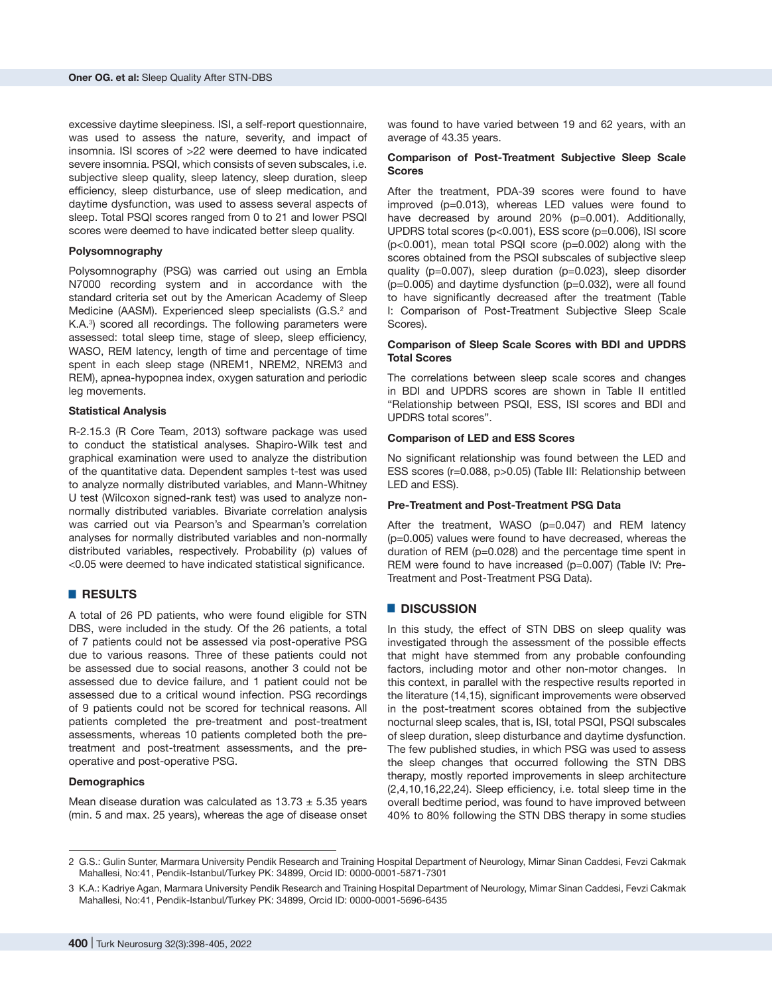excessive daytime sleepiness. ISI, a self-report questionnaire, was used to assess the nature, severity, and impact of insomnia. ISI scores of >22 were deemed to have indicated severe insomnia. PSQI, which consists of seven subscales, i.e. subjective sleep quality, sleep latency, sleep duration, sleep efficiency, sleep disturbance, use of sleep medication, and daytime dysfunction, was used to assess several aspects of sleep. Total PSQI scores ranged from 0 to 21 and lower PSQI scores were deemed to have indicated better sleep quality.

#### **Polysomnography**

Polysomnography (PSG) was carried out using an Embla N7000 recording system and in accordance with the standard criteria set out by the American Academy of Sleep Medicine (AASM). Experienced sleep specialists (G.S.<sup>2</sup> and K.A.<sup>3</sup>) scored all recordings. The following parameters were assessed: total sleep time, stage of sleep, sleep efficiency, WASO, REM latency, length of time and percentage of time spent in each sleep stage (NREM1, NREM2, NREM3 and REM), apnea-hypopnea index, oxygen saturation and periodic leg movements.

### **Statistical Analysis**

R-2.15.3 (R Core Team, 2013) software package was used to conduct the statistical analyses. Shapiro-Wilk test and graphical examination were used to analyze the distribution of the quantitative data. Dependent samples t-test was used to analyze normally distributed variables, and Mann-Whitney U test (Wilcoxon signed-rank test) was used to analyze nonnormally distributed variables. Bivariate correlation analysis was carried out via Pearson's and Spearman's correlation analyses for normally distributed variables and non-normally distributed variables, respectively. Probability (p) values of <0.05 were deemed to have indicated statistical significance.

## █ **RESULTS**

A total of 26 PD patients, who were found eligible for STN DBS, were included in the study. Of the 26 patients, a total of 7 patients could not be assessed via post-operative PSG due to various reasons. Three of these patients could not be assessed due to social reasons, another 3 could not be assessed due to device failure, and 1 patient could not be assessed due to a critical wound infection. PSG recordings of 9 patients could not be scored for technical reasons. All patients completed the pre-treatment and post-treatment assessments, whereas 10 patients completed both the pretreatment and post-treatment assessments, and the preoperative and post-operative PSG.

#### **Demographics**

Mean disease duration was calculated as  $13.73 \pm 5.35$  years (min. 5 and max. 25 years), whereas the age of disease onset was found to have varied between 19 and 62 years, with an average of 43.35 years.

#### **Comparison of Post-Treatment Subjective Sleep Scale Scores**

After the treatment, PDA-39 scores were found to have improved (p=0.013), whereas LED values were found to have decreased by around 20% (p=0.001). Additionally, UPDRS total scores (p<0.001), ESS score (p=0.006), ISI score (p<0.001), mean total PSQI score (p=0.002) along with the scores obtained from the PSQI subscales of subjective sleep quality (p=0.007), sleep duration (p=0.023), sleep disorder  $(p=0.005)$  and daytime dysfunction  $(p=0.032)$ , were all found to have significantly decreased after the treatment (Table I: Comparison of Post-Treatment Subjective Sleep Scale Scores).

## **Comparison of Sleep Scale Scores with BDI and UPDRS Total Scores**

The correlations between sleep scale scores and changes in BDI and UPDRS scores are shown in Table II entitled "Relationship between PSQI, ESS, ISI scores and BDI and UPDRS total scores".

## **Comparison of LED and ESS Scores**

No significant relationship was found between the LED and ESS scores (r=0.088, p>0.05) (Table III: Relationship between LED and ESS).

#### **Pre-Treatment and Post-Treatment PSG Data**

After the treatment, WASO (p=0.047) and REM latency (p=0.005) values were found to have decreased, whereas the duration of REM (p=0.028) and the percentage time spent in REM were found to have increased (p=0.007) (Table IV: Pre-Treatment and Post-Treatment PSG Data).

## █ **DISCUSSION**

In this study, the effect of STN DBS on sleep quality was investigated through the assessment of the possible effects that might have stemmed from any probable confounding factors, including motor and other non-motor changes. In this context, in parallel with the respective results reported in the literature (14,15), significant improvements were observed in the post-treatment scores obtained from the subjective nocturnal sleep scales, that is, ISI, total PSQI, PSQI subscales of sleep duration, sleep disturbance and daytime dysfunction. The few published studies, in which PSG was used to assess the sleep changes that occurred following the STN DBS therapy, mostly reported improvements in sleep architecture (2,4,10,16,22,24). Sleep efficiency, i.e. total sleep time in the overall bedtime period, was found to have improved between 40% to 80% following the STN DBS therapy in some studies

<sup>2</sup> G.S.: Gulin Sunter, Marmara University Pendik Research and Training Hospital Department of Neurology, Mimar Sinan Caddesi, Fevzi Cakmak Mahallesi, No:41, Pendik-Istanbul/Turkey PK: 34899, Orcid ID: 0000-0001-5871-7301

<sup>3</sup> K.A.: Kadriye Agan, Marmara University Pendik Research and Training Hospital Department of Neurology, Mimar Sinan Caddesi, Fevzi Cakmak Mahallesi, No:41, Pendik-Istanbul/Turkey PK: 34899, Orcid ID: 0000-0001-5696-6435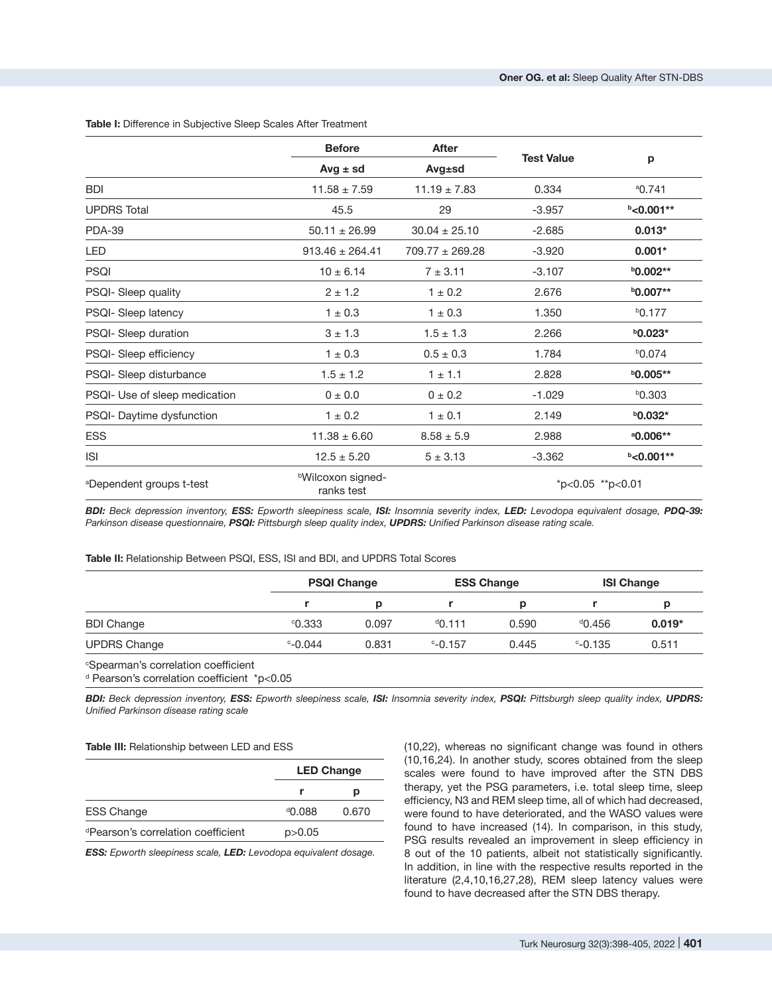|                               | <b>Before</b>                               | <b>After</b>        |                    |                      |
|-------------------------------|---------------------------------------------|---------------------|--------------------|----------------------|
|                               | $Avg \pm sd$                                | Avg±sd              | <b>Test Value</b>  | p                    |
| <b>BDI</b>                    | $11.58 \pm 7.59$                            | $11.19 \pm 7.83$    | 0.334              | $^{a}$ 0.741         |
| <b>UPDRS Total</b>            | 45.5                                        | 29                  | $-3.957$           | $b$ < 0.001**        |
| <b>PDA-39</b>                 | $50.11 \pm 26.99$                           | $30.04 \pm 25.10$   | $-2.685$           | $0.013*$             |
| <b>LED</b>                    | $913.46 \pm 264.41$                         | $709.77 \pm 269.28$ | $-3.920$           | $0.001*$             |
| <b>PSQI</b>                   | $10 \pm 6.14$                               | $7 + 3.11$          | $-3.107$           | <b>b0.002**</b>      |
| PSQI- Sleep quality           | $2 \pm 1.2$                                 | $1 \pm 0.2$         | 2.676              | <b>b0.007**</b>      |
| PSQI- Sleep latency           | $1 \pm 0.3$                                 | $1 \pm 0.3$         | 1.350              | $b$ 0.177            |
| PSQI- Sleep duration          | $3 \pm 1.3$                                 | $1.5 \pm 1.3$       | 2.266              | $b$ 0.023*           |
| PSQI- Sleep efficiency        | $1 \pm 0.3$                                 | $0.5 \pm 0.3$       | 1.784              | b0.074               |
| PSQI- Sleep disturbance       | $1.5 \pm 1.2$                               | $1 \pm 1.1$         | 2.828              | $b$ 0.005**          |
| PSQI- Use of sleep medication | 0 ± 0.0                                     | $0 \pm 0.2$         | $-1.029$           | b0.303               |
| PSQI- Daytime dysfunction     | $1 \pm 0.2$                                 | $1 \pm 0.1$         | 2.149              | $b$ 0.032*           |
| <b>ESS</b>                    | $11.38 \pm 6.60$                            | $8.58 \pm 5.9$      | 2.988              | <sup>a</sup> 0.006** |
| <b>ISI</b>                    | $12.5 \pm 5.20$                             | $5 \pm 3.13$        | $-3.362$           | $b$ < 0.001**        |
| aDependent groups t-test      | <sup>b</sup> Wilcoxon signed-<br>ranks test |                     | $*p<0.05$ **p<0.01 |                      |

**Table I:** Difference in Subjective Sleep Scales After Treatment

*BDI: Beck depression inventory, ESS: Epworth sleepiness scale, ISI: Insomnia severity index, LED: Levodopa equivalent dosage, PDQ-39: Parkinson disease questionnaire, PSQI: Pittsburgh sleep quality index, UPDRS: Unified Parkinson disease rating scale.*

#### **Table II:** Relationship Between PSQI, ESS, ISI and BDI, and UPDRS Total Scores

|                     |             | <b>PSQI Change</b> |              | <b>ESS Change</b> |              | <b>ISI Change</b> |  |
|---------------------|-------------|--------------------|--------------|-------------------|--------------|-------------------|--|
|                     |             | D                  |              | D                 |              | Ŋ                 |  |
| <b>BDI Change</b>   | 0.333       | 0.097              | $^{d}$ 0.111 | 0.590             | $^{d}$ 0.456 | $0.019*$          |  |
| <b>UPDRS Change</b> | $c - 0.044$ | 0.831              | $C-0.157$    | 0.445             | $C-0.135$    | 0.511             |  |
|                     |             |                    |              |                   |              |                   |  |

 $^\mathrm{c}$ Spearman's correlation coefficient

d Pearson's correlation coefficient \*p<0.05

*BDI: Beck depression inventory, ESS: Epworth sleepiness scale, ISI: Insomnia severity index, PSQI: Pittsburgh sleep quality index, UPDRS: Unified Parkinson disease rating scale*

#### **Table III:** Relationship between LED and ESS

|                                    |          | <b>LED Change</b> |  |  |
|------------------------------------|----------|-------------------|--|--|
|                                    |          | р                 |  |  |
| <b>ESS Change</b>                  | 0.088    | 0.670             |  |  |
| dPearson's correlation coefficient | p > 0.05 |                   |  |  |

*ESS: Epworth sleepiness scale, LED: Levodopa equivalent dosage.*

(10,22), whereas no significant change was found in others (10,16,24). In another study, scores obtained from the sleep scales were found to have improved after the STN DBS therapy, yet the PSG parameters, i.e. total sleep time, sleep efficiency, N3 and REM sleep time, all of which had decreased, were found to have deteriorated, and the WASO values were found to have increased (14). In comparison, in this study, PSG results revealed an improvement in sleep efficiency in 8 out of the 10 patients, albeit not statistically significantly. In addition, in line with the respective results reported in the literature (2,4,10,16,27,28), REM sleep latency values were found to have decreased after the STN DBS therapy.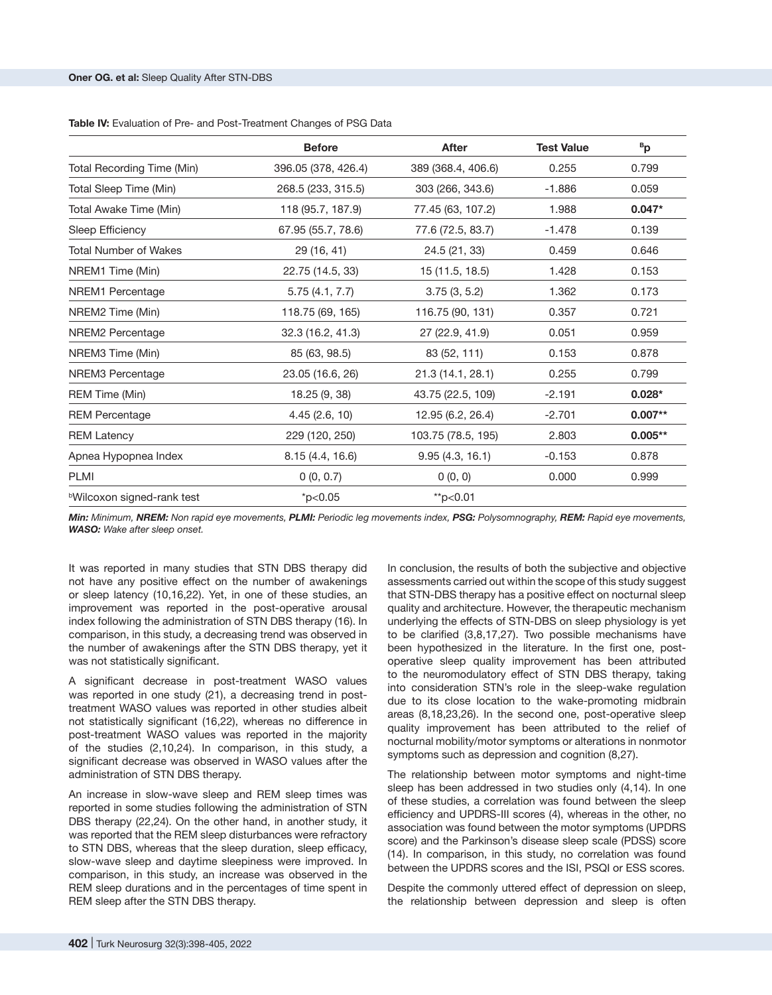| <b>Table IV:</b> Evaluation of Pre- and Post-Treatment Changes of PSG Data |  |
|----------------------------------------------------------------------------|--|
|----------------------------------------------------------------------------|--|

|                                   | <b>Before</b>       | <b>After</b>       | <b>Test Value</b> | <sup>B</sup> p |
|-----------------------------------|---------------------|--------------------|-------------------|----------------|
| Total Recording Time (Min)        | 396.05 (378, 426.4) | 389 (368.4, 406.6) | 0.255             | 0.799          |
| Total Sleep Time (Min)            | 268.5 (233, 315.5)  | 303 (266, 343.6)   | $-1.886$          | 0.059          |
| Total Awake Time (Min)            | 118 (95.7, 187.9)   | 77.45 (63, 107.2)  | 1.988             | $0.047*$       |
| Sleep Efficiency                  | 67.95 (55.7, 78.6)  | 77.6 (72.5, 83.7)  | $-1.478$          | 0.139          |
| Total Number of Wakes             | 29 (16, 41)         | 24.5 (21, 33)      | 0.459             | 0.646          |
| NREM1 Time (Min)                  | 22.75 (14.5, 33)    | 15 (11.5, 18.5)    | 1.428             | 0.153          |
| NREM1 Percentage                  | 5.75(4.1, 7.7)      | 3.75(3, 5.2)       | 1.362             | 0.173          |
| NREM2 Time (Min)                  | 118.75 (69, 165)    | 116.75 (90, 131)   | 0.357             | 0.721          |
| NREM2 Percentage                  | 32.3 (16.2, 41.3)   | 27 (22.9, 41.9)    | 0.051             | 0.959          |
| NREM3 Time (Min)                  | 85 (63, 98.5)       | 83 (52, 111)       | 0.153             | 0.878          |
| NREM3 Percentage                  | 23.05 (16.6, 26)    | 21.3 (14.1, 28.1)  | 0.255             | 0.799          |
| REM Time (Min)                    | 18.25 (9, 38)       | 43.75 (22.5, 109)  | $-2.191$          | $0.028*$       |
| <b>REM Percentage</b>             | 4.45(2.6, 10)       | 12.95 (6.2, 26.4)  | $-2.701$          | $0.007**$      |
| <b>REM Latency</b>                | 229 (120, 250)      | 103.75 (78.5, 195) | 2.803             | $0.005**$      |
| Apnea Hypopnea Index              | 8.15 (4.4, 16.6)    | 9.95(4.3, 16.1)    | $-0.153$          | 0.878          |
| PLMI                              | 0(0, 0.7)           | 0(0, 0)            | 0.000             | 0.999          |
| <b>bWilcoxon signed-rank test</b> | $*p<0.05$           | $*$ p<0.01         |                   |                |

*Min: Minimum, NREM: Non rapid eye movements, PLMI: Periodic leg movements index, PSG: Polysomnography, REM: Rapid eye movements, WASO: Wake after sleep onset.*

It was reported in many studies that STN DBS therapy did not have any positive effect on the number of awakenings or sleep latency (10,16,22). Yet, in one of these studies, an improvement was reported in the post-operative arousal index following the administration of STN DBS therapy (16). In comparison, in this study, a decreasing trend was observed in the number of awakenings after the STN DBS therapy, yet it was not statistically significant.

A significant decrease in post-treatment WASO values was reported in one study (21), a decreasing trend in posttreatment WASO values was reported in other studies albeit not statistically significant (16,22), whereas no difference in post-treatment WASO values was reported in the majority of the studies (2,10,24). In comparison, in this study, a significant decrease was observed in WASO values after the administration of STN DBS therapy.

An increase in slow-wave sleep and REM sleep times was reported in some studies following the administration of STN DBS therapy (22,24). On the other hand, in another study, it was reported that the REM sleep disturbances were refractory to STN DBS, whereas that the sleep duration, sleep efficacy, slow-wave sleep and daytime sleepiness were improved. In comparison, in this study, an increase was observed in the REM sleep durations and in the percentages of time spent in REM sleep after the STN DBS therapy.

In conclusion, the results of both the subjective and objective assessments carried out within the scope of this study suggest that STN-DBS therapy has a positive effect on nocturnal sleep quality and architecture. However, the therapeutic mechanism underlying the effects of STN-DBS on sleep physiology is yet to be clarified (3,8,17,27). Two possible mechanisms have been hypothesized in the literature. In the first one, postoperative sleep quality improvement has been attributed to the neuromodulatory effect of STN DBS therapy, taking into consideration STN's role in the sleep-wake regulation due to its close location to the wake-promoting midbrain areas (8,18,23,26). In the second one, post-operative sleep quality improvement has been attributed to the relief of nocturnal mobility/motor symptoms or alterations in nonmotor symptoms such as depression and cognition (8,27).

The relationship between motor symptoms and night-time sleep has been addressed in two studies only (4,14). In one of these studies, a correlation was found between the sleep efficiency and UPDRS-III scores (4), whereas in the other, no association was found between the motor symptoms (UPDRS score) and the Parkinson's disease sleep scale (PDSS) score (14). In comparison, in this study, no correlation was found between the UPDRS scores and the ISI, PSQI or ESS scores.

Despite the commonly uttered effect of depression on sleep, the relationship between depression and sleep is often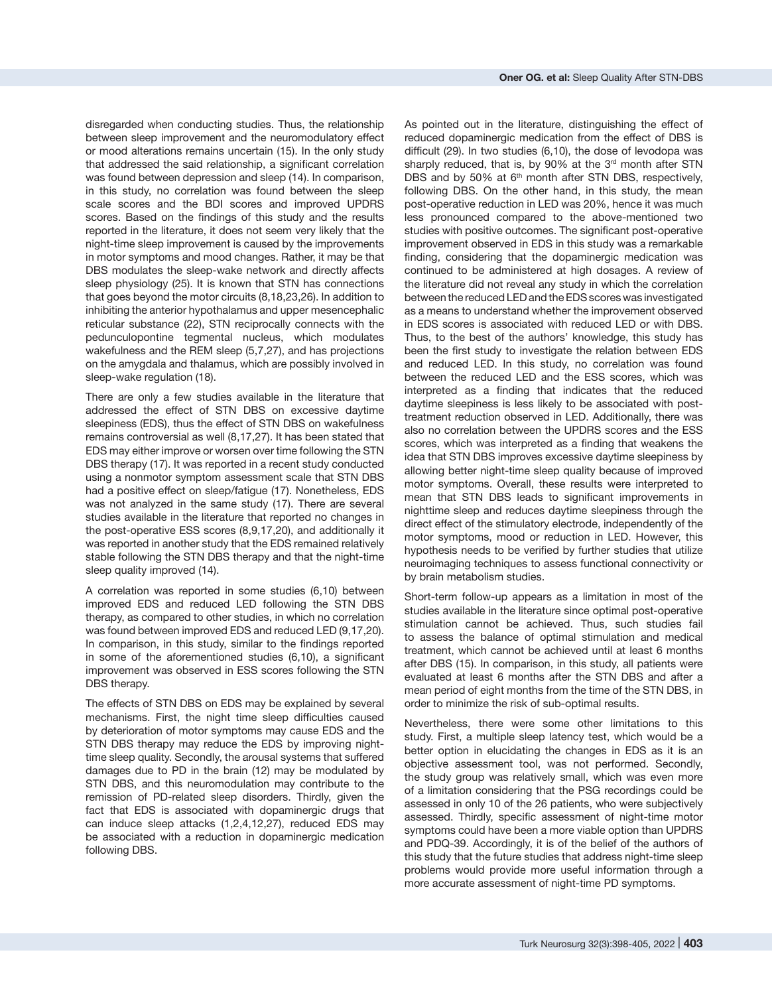disregarded when conducting studies. Thus, the relationship between sleep improvement and the neuromodulatory effect or mood alterations remains uncertain (15). In the only study that addressed the said relationship, a significant correlation was found between depression and sleep (14). In comparison, in this study, no correlation was found between the sleep scale scores and the BDI scores and improved UPDRS scores. Based on the findings of this study and the results reported in the literature, it does not seem very likely that the night-time sleep improvement is caused by the improvements in motor symptoms and mood changes. Rather, it may be that DBS modulates the sleep-wake network and directly affects sleep physiology (25). It is known that STN has connections that goes beyond the motor circuits (8,18,23,26). In addition to inhibiting the anterior hypothalamus and upper mesencephalic reticular substance (22), STN reciprocally connects with the pedunculopontine tegmental nucleus, which modulates wakefulness and the REM sleep (5,7,27), and has projections on the amygdala and thalamus, which are possibly involved in sleep-wake regulation (18).

There are only a few studies available in the literature that addressed the effect of STN DBS on excessive daytime sleepiness (EDS), thus the effect of STN DBS on wakefulness remains controversial as well (8,17,27). It has been stated that EDS may either improve or worsen over time following the STN DBS therapy (17). It was reported in a recent study conducted using a nonmotor symptom assessment scale that STN DBS had a positive effect on sleep/fatigue (17). Nonetheless, EDS was not analyzed in the same study (17). There are several studies available in the literature that reported no changes in the post-operative ESS scores (8,9,17,20), and additionally it was reported in another study that the EDS remained relatively stable following the STN DBS therapy and that the night-time sleep quality improved (14).

A correlation was reported in some studies (6,10) between improved EDS and reduced LED following the STN DBS therapy, as compared to other studies, in which no correlation was found between improved EDS and reduced LED (9,17,20). In comparison, in this study, similar to the findings reported in some of the aforementioned studies (6,10), a significant improvement was observed in ESS scores following the STN DBS therapy.

The effects of STN DBS on EDS may be explained by several mechanisms. First, the night time sleep difficulties caused by deterioration of motor symptoms may cause EDS and the STN DBS therapy may reduce the EDS by improving nighttime sleep quality. Secondly, the arousal systems that suffered damages due to PD in the brain (12) may be modulated by STN DBS, and this neuromodulation may contribute to the remission of PD-related sleep disorders. Thirdly, given the fact that EDS is associated with dopaminergic drugs that can induce sleep attacks (1,2,4,12,27), reduced EDS may be associated with a reduction in dopaminergic medication following DBS.

As pointed out in the literature, distinguishing the effect of reduced dopaminergic medication from the effect of DBS is difficult (29). In two studies (6,10), the dose of levodopa was sharply reduced, that is, by 90% at the 3<sup>rd</sup> month after STN DBS and by 50% at 6<sup>th</sup> month after STN DBS, respectively, following DBS. On the other hand, in this study, the mean post-operative reduction in LED was 20%, hence it was much less pronounced compared to the above-mentioned two studies with positive outcomes. The significant post-operative improvement observed in EDS in this study was a remarkable finding, considering that the dopaminergic medication was continued to be administered at high dosages. A review of the literature did not reveal any study in which the correlation between the reduced LED and the EDS scores was investigated as a means to understand whether the improvement observed in EDS scores is associated with reduced LED or with DBS. Thus, to the best of the authors' knowledge, this study has been the first study to investigate the relation between EDS and reduced LED. In this study, no correlation was found between the reduced LED and the ESS scores, which was interpreted as a finding that indicates that the reduced daytime sleepiness is less likely to be associated with posttreatment reduction observed in LED. Additionally, there was also no correlation between the UPDRS scores and the ESS scores, which was interpreted as a finding that weakens the idea that STN DBS improves excessive daytime sleepiness by allowing better night-time sleep quality because of improved motor symptoms. Overall, these results were interpreted to mean that STN DBS leads to significant improvements in nighttime sleep and reduces daytime sleepiness through the direct effect of the stimulatory electrode, independently of the motor symptoms, mood or reduction in LED. However, this hypothesis needs to be verified by further studies that utilize neuroimaging techniques to assess functional connectivity or by brain metabolism studies.

Short-term follow-up appears as a limitation in most of the studies available in the literature since optimal post-operative stimulation cannot be achieved. Thus, such studies fail to assess the balance of optimal stimulation and medical treatment, which cannot be achieved until at least 6 months after DBS (15). In comparison, in this study, all patients were evaluated at least 6 months after the STN DBS and after a mean period of eight months from the time of the STN DBS, in order to minimize the risk of sub-optimal results.

Nevertheless, there were some other limitations to this study. First, a multiple sleep latency test, which would be a better option in elucidating the changes in EDS as it is an objective assessment tool, was not performed. Secondly, the study group was relatively small, which was even more of a limitation considering that the PSG recordings could be assessed in only 10 of the 26 patients, who were subjectively assessed. Thirdly, specific assessment of night-time motor symptoms could have been a more viable option than UPDRS and PDQ-39. Accordingly, it is of the belief of the authors of this study that the future studies that address night-time sleep problems would provide more useful information through a more accurate assessment of night-time PD symptoms.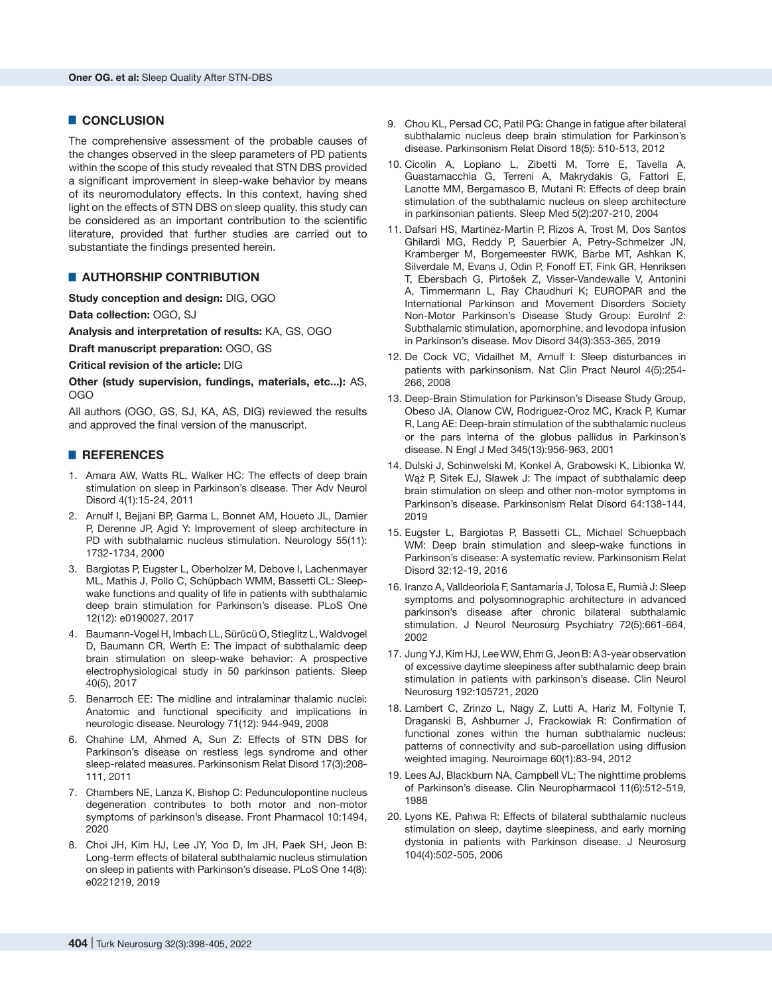# █ **CONCLUSION**

The comprehensive assessment of the probable causes of the changes observed in the sleep parameters of PD patients within the scope of this study revealed that STN DBS provided a significant improvement in sleep-wake behavior by means of its neuromodulatory effects. In this context, having shed light on the effects of STN DBS on sleep quality, this study can be considered as an important contribution to the scientific literature, provided that further studies are carried out to substantiate the findings presented herein.

# **E** AUTHORSHIP CONTRIBUTION

**Study conception and design:** DIG, OGO

**Data collection:** OGO, SJ

**Analysis and interpretation of results:** KA, GS, OGO

**Draft manuscript preparation:** OGO, GS

**Critical revision of the article:** DIG

**Other (study supervision, fundings, materials, etc...):** AS, OGO

All authors (OGO, GS, SJ, KA, AS, DIG) reviewed the results and approved the final version of the manuscript.

### █ **REFERENCES**

- 1. Amara AW, Watts RL, Walker HC: The effects of deep brain stimulation on sleep in Parkinson's disease. Ther Adv Neurol Disord 4(1):15-24, 2011
- 2. Arnulf I, Bejjani BP, Garma L, Bonnet AM, Houeto JL, Damier P, Derenne JP, Agid Y: Improvement of sleep architecture in PD with subthalamic nucleus stimulation. Neurology 55(11): 1732-1734, 2000
- 3. Bargiotas P, Eugster L, Oberholzer M, Debove I, Lachenmayer ML, Mathis J, Pollo C, Schüpbach WMM, Bassetti CL: Sleepwake functions and quality of life in patients with subthalamic deep brain stimulation for Parkinson's disease. PLoS One 12(12): e0190027, 2017
- 4. Baumann-Vogel H, Imbach LL, Sürücü O, Stieglitz L, Waldvogel D, Baumann CR, Werth E: The impact of subthalamic deep brain stimulation on sleep-wake behavior: A prospective electrophysiological study in 50 parkinson patients. Sleep 40(5), 2017
- 5. Benarroch EE: The midline and intralaminar thalamic nuclei: Anatomic and functional specificity and implications in neurologic disease. Neurology 71(12): 944-949, 2008
- 6. Chahine LM, Ahmed A, Sun Z: Effects of STN DBS for Parkinson's disease on restless legs syndrome and other sleep-related measures. Parkinsonism Relat Disord 17(3):208- 111, 2011
- 7. Chambers NE, Lanza K, Bishop C: Pedunculopontine nucleus degeneration contributes to both motor and non-motor symptoms of parkinson's disease. Front Pharmacol 10:1494, 2020
- 8. Choi JH, Kim HJ, Lee JY, Yoo D, Im JH, Paek SH, Jeon B: Long-term effects of bilateral subthalamic nucleus stimulation on sleep in patients with Parkinson's disease. PLoS One 14(8): e0221219, 2019
- 9. Chou KL, Persad CC, Patil PG: Change in fatigue after bilateral subthalamic nucleus deep brain stimulation for Parkinson's disease. Parkinsonism Relat Disord 18(5): 510-513, 2012
- 10. Cicolin A, Lopiano L, Zibetti M, Torre E, Tavella A, Guastamacchia G, Terreni A, Makrydakis G, Fattori E, Lanotte MM, Bergamasco B, Mutani R: Effects of deep brain stimulation of the subthalamic nucleus on sleep architecture in parkinsonian patients. Sleep Med 5(2):207-210, 2004
- 11. Dafsari HS, Martinez-Martin P, Rizos A, Trost M, Dos Santos Ghilardi MG, Reddy P, Sauerbier A, Petry-Schmelzer JN, Kramberger M, Borgemeester RWK, Barbe MT, Ashkan K, Silverdale M, Evans J, Odin P, Fonoff ET, Fink GR, Henriksen T, Ebersbach G, Pirtošek Z, Visser-Vandewalle V, Antonini A, Timmermann L, Ray Chaudhuri K; EUROPAR and the International Parkinson and Movement Disorders Society Non-Motor Parkinson's Disease Study Group: EuroInf 2: Subthalamic stimulation, apomorphine, and levodopa infusion in Parkinson's disease. Mov Disord 34(3):353-365, 2019
- 12. De Cock VC, Vidailhet M, Arnulf I: Sleep disturbances in patients with parkinsonism. Nat Clin Pract Neurol 4(5):254- 266, 2008
- 13. Deep-Brain Stimulation for Parkinson's Disease Study Group, Obeso JA, Olanow CW, Rodriguez-Oroz MC, Krack P, Kumar R, Lang AE: Deep-brain stimulation of the subthalamic nucleus or the pars interna of the globus pallidus in Parkinson's disease. N Engl J Med 345(13):956-963, 2001
- 14. Dulski J, Schinwelski M, Konkel A, Grabowski K, Libionka W, Wąż P, Sitek EJ, Sławek J: The impact of subthalamic deep brain stimulation on sleep and other non-motor symptoms in Parkinson's disease. Parkinsonism Relat Disord 64:138-144, 2019
- 15. Eugster L, Bargiotas P, Bassetti CL, Michael Schuepbach WM: Deep brain stimulation and sleep-wake functions in Parkinson's disease: A systematic review. Parkinsonism Relat Disord 32:12-19, 2016
- 16. Iranzo A, Valldeoriola F, Santamaría J, Tolosa E, Rumià J: Sleep symptoms and polysomnographic architecture in advanced parkinson's disease after chronic bilateral subthalamic stimulation. J Neurol Neurosurg Psychiatry 72(5):661-664, 2002
- 17. Jung YJ, Kim HJ, Lee WW, Ehm G, Jeon B: A 3-year observation of excessive daytime sleepiness after subthalamic deep brain stimulation in patients with parkinson's disease. Clin Neurol Neurosurg 192:105721, 2020
- 18. Lambert C, Zrinzo L, Nagy Z, Lutti A, Hariz M, Foltynie T, Draganski B, Ashburner J, Frackowiak R: Confirmation of functional zones within the human subthalamic nucleus: patterns of connectivity and sub-parcellation using diffusion weighted imaging. Neuroimage 60(1):83-94, 2012
- 19. Lees AJ, Blackburn NA, Campbell VL: The nighttime problems of Parkinson's disease. Clin Neuropharmacol 11(6):512-519, 1988
- 20. Lyons KE, Pahwa R: Effects of bilateral subthalamic nucleus stimulation on sleep, daytime sleepiness, and early morning dystonia in patients with Parkinson disease. J Neurosurg 104(4):502-505, 2006